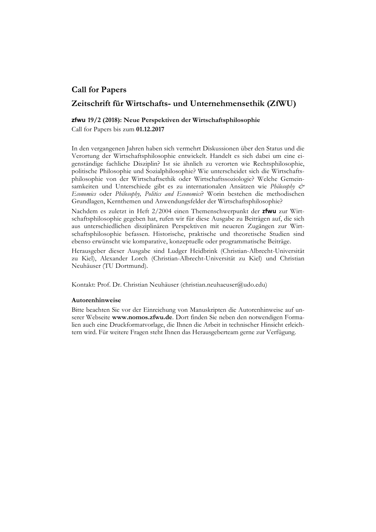# **Call for Papers**

## **Zeitschrift für Wirtschafts- und Unternehmensethik (ZfWU)**

### **zfwu****19/2 (2018): Neue Perspektiven der Wirtschaftsphilosophie**

Call for Papers bis zum **01.12.2017**

In den vergangenen Jahren haben sich vermehrt Diskussionen über den Status und die Verortung der Wirtschaftsphilosophie entwickelt. Handelt es sich dabei um eine eigenständige fachliche Disziplin? Ist sie ähnlich zu verorten wie Rechtsphilosophie, politische Philosophie und Sozialphilosophie? Wie unterscheidet sich die Wirtschaftsphilosophie von der Wirtschaftsethik oder Wirtschaftssoziologie? Welche Gemeinsamkeiten und Unterschiede gibt es zu internationalen Ansätzen wie *Philosophy & Economics* oder *Philosophy, Politics and Economics*? Worin bestehen die methodischen Grundlagen, Kernthemen und Anwendungsfelder der Wirtschaftsphilosophie?

Nachdem es zuletzt in Heft 2/2004 einen Themenschwerpunkt der **zfwu** zur Wirtschaftsphilosophie gegeben hat, rufen wir für diese Ausgabe zu Beiträgen auf, die sich aus unterschiedlichen disziplinären Perspektiven mit neueren Zugängen zur Wirtschaftsphilosophie befassen. Historische, praktische und theoretische Studien sind ebenso erwünscht wie komparative, konzeptuelle oder programmatische Beiträge.

Herausgeber dieser Ausgabe sind Ludger Heidbrink (Christian-Albrecht-Universität zu Kiel), Alexander Lorch (Christian-Albrecht-Universität zu Kiel) und Christian Neuhäuser (TU Dortmund).

Kontakt: Prof. Dr. Christian Neuhäuser (christian.neuhaeuser@udo.edu)

#### **Autorenhinweise**

Bitte beachten Sie vor der Einreichung von Manuskripten die Autorenhinweise auf unserer Webseite **www.nomos.zfwu.de**. Dort finden Sie neben den notwendigen Formalien auch eine Druckformatvorlage, die Ihnen die Arbeit in technischer Hinsicht erleichtern wird. Für weitere Fragen steht Ihnen das Herausgeberteam gerne zur Verfügung.